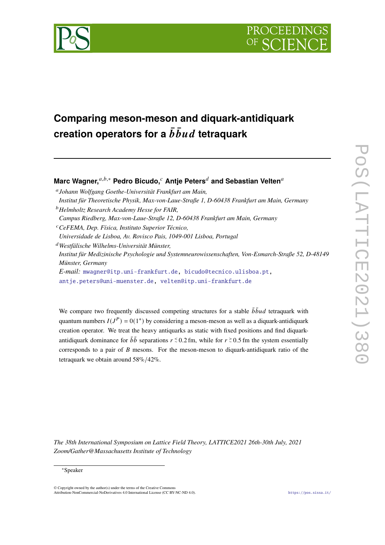



# **Comparing meson-meson and diquark-antidiquark creation operators for a**  $\bar{b} \bar{b} u d$  **tetraquark**

**Marc Wagner,** $a,b,*$  **Pedro Bicudo,**  $c$  Antie Peters<sup>*d*</sup> and Sebastian Velten<sup>*a*</sup>

 *Johann Wolfgang Goethe-Universität Frankfurt am Main, Institut für Theoretische Physik, Max-von-Laue-Straße 1, D-60438 Frankfurt am Main, Germany Helmholtz Research Academy Hesse for FAIR, Campus Riedberg, Max-von-Laue-Straße 12, D-60438 Frankfurt am Main, Germany CeFEMA, Dep. Física, Instituto Superior Técnico,*

*Universidade de Lisboa, Av. Rovisco Pais, 1049-001 Lisboa, Portugal*

*Westfälische Wilhelms-Universität Münster, Institut für Medizinische Psychologie und Systemneurowissenschaften, Von-Esmarch-Straße 52, D-48149 Münster, Germany E-mail:* [mwagner@itp.uni-frankfurt.de,](mailto:mwagner@itp.uni-frankfurt.de) [bicudo@tecnico.ulisboa.pt,](mailto:bicudo@tecnico.ulisboa.pt) [antje.peters@uni-muenster.de,](mailto:antje.peters@uni-muenster.de) [velten@itp.uni-frankfurt.de](mailto:velten@itp.uni-frankfurt.de)

We compare two frequently discussed competing structures for a stable  $\bar{b} \bar{b} u d$  tetraquark with quantum numbers  $I(J^P) = 0(1^+)$  by considering a meson-meson as well as a diquark-antidiquark creation operator. We treat the heavy antiquarks as static with fixed positions and find diquarkantidiquark dominance for  $\bar{b}\bar{b}$  separations  $r \leq 0.2$  fm, while for  $r \geq 0.5$  fm the system essentially corresponds to a pair of  $\hat{B}$  mesons. For the meson-meson to diquark-antidiquark ratio of the tetraquark we obtain around 58%/42%.

*The 38th International Symposium on Lattice Field Theory, LATTICE2021 26th-30th July, 2021 Zoom/Gather@Massachusetts Institute of Technology*

#### <sup>∗</sup>Speaker

 $\odot$  Copyright owned by the author(s) under the terms of the Creative Common Attribution-NonCommercial-NoDerivatives 4.0 International License (CC BY-NC-ND 4.0). <https://pos.sissa.it/>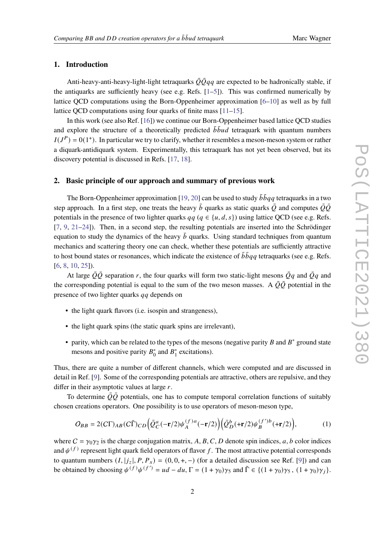# **1. Introduction**

Anti-heavy-anti-heavy-light-light tetraquarks  $\overline{Q} \overline{Q} q q$  are expected to be hadronically stable, if the antiquarks are sufficiently heavy (see e.g. Refs. [\[1](#page-5-0)[–5\]](#page-5-1)). This was confirmed numerically by lattice QCD computations using the Born-Oppenheimer approximation [\[6](#page-5-2)[–10\]](#page-5-3) as well as by full lattice OCD computations using four quarks of finite mass [\[11–](#page-5-4)[15\]](#page-6-0).

In this work (see also Ref. [\[16\]](#page-6-1)) we continue our Born-Oppenheimer based lattice QCD studies and explore the structure of a theoretically predicted  $\bar{b} \bar{b} u d$  tetraquark with quantum numbers  $I(J<sup>P</sup>) = 0(1<sup>+</sup>)$ . In particular we try to clarify, whether it resembles a meson-meson system or rather a diquark-antidiquark system. Experimentally, this tetraquark has not yet been observed, but its discovery potential is discussed in Refs. [\[17,](#page-6-2) [18\]](#page-6-3).

#### <span id="page-1-1"></span>**2. Basic principle of our approach and summary of previous work**

The Born-Oppenheimer approximation [\[19,](#page-6-4) [20\]](#page-6-5) can be used to study  $\bar{b} \bar{b} q q$  tetraquarks in a two step approach. In a first step, one treats the heavy  $\bar{b}$  quarks as static quarks  $\bar{Q}$  and computes  $\bar{Q}\bar{Q}$ potentials in the presence of two lighter quarks  $qa \ (q \in \{u, d, s\})$  using lattice OCD (see e.g. Refs. [\[7,](#page-5-5) [9,](#page-5-6) [21](#page-6-6)[–24\]](#page-6-7)). Then, in a second step, the resulting potentials are inserted into the Schrödinger equation to study the dynamics of the heavy  $\bar{b}$  quarks. Using standard techniques from quantum mechanics and scattering theory one can check, whether these potentials are sufficiently attractive to host bound states or resonances, which indicate the existence of  $\bar{b} \bar{b} q q$  tetraquarks (see e.g. Refs. [\[6,](#page-5-2) [8,](#page-5-7) [10,](#page-5-3) [25\]](#page-6-8)).

At large  $\overline{Q}\overline{Q}$  separation r, the four quarks will form two static-light mesons  $\overline{Q}q$  and  $\overline{Q}q$  and the corresponding potential is equal to the sum of the two meson masses. A  $\overline{Q}\overline{Q}$  potential in the presence of two lighter quarks  $qq$  depends on

- the light quark flavors (i.e. isospin and strangeness),
- the light quark spins (the static quark spins are irrelevant),
- parity, which can be related to the types of the mesons (negative parity  $B$  and  $B^*$  ground state mesons and positive parity  $B_0^*$  $_{0}^{*}$  and  $B_{1}^{*}$  $i<sub>1</sub><sup>*</sup>$  excitations).

Thus, there are quite a number of different channels, which were computed and are discussed in detail in Ref. [\[9\]](#page-5-6). Some of the corresponding potentials are attractive, others are repulsive, and they differ in their asymptotic values at large  $r$ .

To determine  $\overline{Q}\overline{Q}$  potentials, one has to compute temporal correlation functions of suitably chosen creations operators. One possibility is to use operators of meson-meson type,

<span id="page-1-0"></span>
$$
O_{BB} = 2(C\Gamma)_{AB}(C\tilde{\Gamma})_{CD} \Big( \bar{Q}_C^a(-\mathbf{r}/2)\psi_A^{(f)a}(-\mathbf{r}/2) \Big) \Big( \bar{Q}_D^b(\mathbf{+r}/2)\psi_B^{(f')b}(\mathbf{+r}/2) \Big), \tag{1}
$$

where  $C = \gamma_0 \gamma_2$  is the charge conjugation matrix, A, B, C, D denote spin indices, a, b color indices and  $\psi^{(f)}$  represent light quark field operators of flavor f. The most attractive potential corresponds to quantum numbers  $(I, |j_z|, P, P_x) = (0, 0, +, -)$  (for a detailed discussion see Ref. [\[9\]](#page-5-6)) and can be obtained by choosing  $\psi^{(f)}\psi^{(f')} = ud - du$ ,  $\Gamma = (1 + \gamma_0)\gamma_5$  and  $\tilde{\Gamma} \in \{(1 + \gamma_0)\gamma_5, (1 + \gamma_0)\gamma_j\}$ .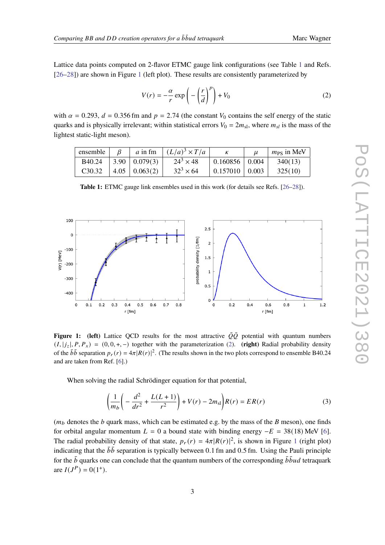Lattice data points computed on 2-flavor ETMC gauge link configurations (see Table [1](#page-2-0) and Refs. [\[26](#page-6-9)[–28\]](#page-7-0)) are shown in Figure [1](#page-2-1) (left plot). These results are consistently parameterized by

<span id="page-2-2"></span>
$$
V(r) = -\frac{\alpha}{r} \exp\left(-\left(\frac{r}{d}\right)^p\right) + V_0
$$
 (2)

with  $\alpha = 0.293$ ,  $d = 0.356$  fm and  $p = 2.74$  (the constant  $V_0$  contains the self energy of the static quarks and is physically irrelevant; within statistical errors  $V_0 = 2m_{sl}$ , where  $m_{sl}$  is the mass of the lightest static-light meson).

<span id="page-2-0"></span>

| ensemble            |                        | a in fm $(L/a)^3 \times T/a$ |                                    | $m_{PS}$ in MeV |
|---------------------|------------------------|------------------------------|------------------------------------|-----------------|
| B40.24              | $\mid$ 3.90   0.079(3) | $24^3 \times 48$             | $\vert 0.160856 \vert 0.004 \vert$ | 340(13)         |
| C <sub>3</sub> 0.32 | $4.05 \mid 0.063(2)$   | $32^3 \times 64$             | $0.157010$   0.003                 | 325(10)         |

**Table 1:** ETMC gauge link ensembles used in this work (for details see Refs. [\[26](#page-6-9)[–28\]](#page-7-0)).

<span id="page-2-1"></span>

**Figure 1:** (left) Lattice QCD results for the most attractive  $\overline{Q}\overline{Q}$  potential with quantum numbers  $(I, |j_z|, P, P_x) = (0, 0, +, -)$  together with the parameterization [\(2\)](#page-2-2). (right) Radial probability density of the  $b\bar{b}$  separation  $p_r(r) = 4\pi |R(r)|^2$ . (The results shown in the two plots correspond to ensemble B40.24 and are taken from Ref. [\[6\]](#page-5-2).)

When solving the radial Schrödinger equation for that potential,

$$
\left(\frac{1}{m_b}\left(-\frac{d^2}{dr^2} + \frac{L(L+1)}{r^2}\right) + V(r) - 2m_{\rm sl}\right)R(r) = ER(r)
$$
\n(3)

 $(m_b$  denotes the *b* quark mass, which can be estimated e.g. by the mass of the *B* meson), one finds for orbital angular momentum  $L = 0$  a bound state with binding energy  $-E = 38(18)$  MeV [\[6\]](#page-5-2). The radial probability density of that state,  $p_r(r) = 4\pi |R(r)|^2$ , is shown in Figure [1](#page-2-1) (right plot) indicating that the  $\bar{b}\bar{b}$  separation is typically between 0.1 fm and 0.5 fm. Using the Pauli principle for the  $\bar{b}$  quarks one can conclude that the quantum numbers of the corresponding  $\bar{b} \bar{b} u d$  tetraquark are  $I(J^P) = 0(1^+).$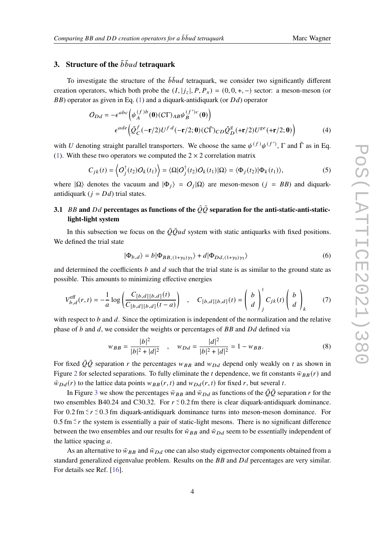# **3.** Structure of the  $\bar{b} \bar{b} u d$  tetraquark

To investigate the structure of the  $\bar{b} \bar{b} u d$  tetraquark, we consider two significantly different creation operators, which both probe the  $(I, |j_z|, P, P_x) = (0, 0, +, -)$  sector: a meson-meson (or  $BB$ ) operator as given in Eq. [\(1\)](#page-1-0) and a diquark-antidiquark (or  $Dd$ ) operator

$$
O_{Dd} = -\epsilon^{abc} \Big( \psi_A^{(f)b}(\mathbf{0})(C\Gamma)_{AB} \psi_B^{(f')c}(\mathbf{0}) \Big)
$$
  

$$
\epsilon^{ade} \Big( \bar{Q}_C^f(-\mathbf{r}/2) U^{fd}(-\mathbf{r}/2; \mathbf{0})(C\tilde{\Gamma})_{CD} \bar{Q}_D^g(\mathbf{+r}/2) U^{ge}(\mathbf{+r}/2; \mathbf{0}) \Big)
$$
 (4)

with U denoting straight parallel transporters. We choose the same  $\psi^{(f)}\psi^{(f')}$ ,  $\Gamma$  and  $\tilde{\Gamma}$  as in Eq. [\(1\)](#page-1-0). With these two operators we computed the  $2 \times 2$  correlation matrix

$$
C_{jk}(t) = \left\langle O_j^{\dagger}(t_2)O_k(t_1) \right\rangle = \left\langle \Omega | O_j^{\dagger}(t_2)O_k(t_1) | \Omega \right\rangle = \left\langle \Phi_j(t_2) | \Phi_k(t_1) \right\rangle, \tag{5}
$$

where  $|\Omega\rangle$  denotes the vacuum and  $|\Phi_j\rangle = O_j |\Omega\rangle$  are meson-meson  $(j = BB)$  and diquarkantidiquark ( $j = Dd$ ) trial states.

# **3.1** BB and Dd percentages as functions of the  $\overline{Q}\overline{Q}$  separation for the anti-static-anti-static**light-light system**

In this subsection we focus on the  $\overline{Q} \overline{Q} u d$  system with static antiquarks with fixed positions. We defined the trial state

$$
|\Phi_{b,d}\rangle = b|\Phi_{BB,(1+\gamma_0)\gamma_5}\rangle + d|\Phi_{Dd,(1+\gamma_0)\gamma_5}\rangle \tag{6}
$$

and determined the coefficients  $b$  and  $d$  such that the trial state is as similar to the ground state as possible. This amounts to minimizing effective energies

$$
V_{b,d}^{\text{eff}}(r,t) = -\frac{1}{a} \log \left( \frac{C_{[b,d][b,d]}(t)}{C_{[b,d][b,d]}(t-a)} \right) , \quad C_{[b,d][b,d]}(t) = \left( \begin{array}{c} b \\ d \end{array} \right)_{j}^{+} C_{jk}(t) \left( \begin{array}{c} b \\ d \end{array} \right)_{k} \tag{7}
$$

with respect to  $b$  and  $d$ . Since the optimization is independent of the normalization and the relative phase of  $b$  and  $d$ , we consider the weights or percentages of  $BB$  and  $Dd$  defined via

$$
w_{BB} = \frac{|b|^2}{|b|^2 + |d|^2} \quad , \quad w_{Dd} = \frac{|d|^2}{|b|^2 + |d|^2} = 1 - w_{BB}.
$$
 (8)

For fixed  $\overline{Q}\overline{Q}$  separation r the percentages  $w_{BB}$  and  $w_{Dd}$  depend only weakly on t as shown in Figure [2](#page-4-0) for selected separations. To fully eliminate the *t* dependence, we fit constants  $\bar{w}_{BB}(r)$  and  $\bar{w}_{Dd}(r)$  to the lattice data points  $w_{BB}(r, t)$  and  $w_{Dd}(r, t)$  for fixed r, but several t.

In Figure [3](#page-4-1) we show the percentages  $\bar{w}_{BB}$  and  $\bar{w}_{DA}$  as functions of the  $\bar{Q}\bar{Q}$  separation r for the two ensembles B40.24 and C30.32. For  $r \le 0.2$  fm there is clear diquark-antidiquark dominance. For 0.2 fm  $\leq r \leq 0.3$  fm diquark-antidiquark dominance turns into meson-meson dominance. For 0.5 fm  $≤$  r the system is essentially a pair of static-light mesons. There is no significant difference between the two ensembles and our results for  $\bar{w}_{BB}$  and  $\bar{w}_{Dd}$  seem to be essentially independent of the lattice spacing  $a$ .

As an alternative to  $\bar{w}_{BB}$  and  $\bar{w}_{Dd}$  one can also study eigenvector components obtained from a standard generalized eigenvalue problem. Results on the  $BB$  and  $Dd$  percentages are very similar. For details see Ref. [\[16\]](#page-6-1).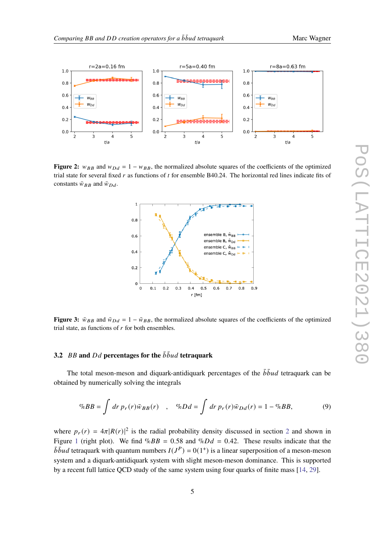

<span id="page-4-0"></span>

<span id="page-4-1"></span>**Figure 2:**  $w_{BB}$  and  $w_{DA} = 1 - w_{BB}$ , the normalized absolute squares of the coefficients of the optimized trial state for several fixed  $r$  as functions of  $t$  for ensemble B40.24. The horizontal red lines indicate fits of constants  $\bar{w}_{BB}$  and  $\bar{w}_{Dd}$ .



**Figure 3:**  $\bar{w}_{BB}$  and  $\bar{w}_{Dd} = 1 - \bar{w}_{BB}$ , the normalized absolute squares of the coefficients of the optimized trial state, as functions of  $r$  for both ensembles.

# **3.2**  $BB$  and  $Dd$  percentages for the  $\bar{b} \bar{b} u d$  tetraquark

The total meson-meson and diquark-antidiquark percentages of the  $\bar{b} \bar{b} u d$  tetraquark can be obtained by numerically solving the integrals

$$
\%BB = \int dr \, p_r(r)\bar{w}_{BB}(r) \quad , \quad \%Dd = \int dr \, p_r(r)\bar{w}_{Dd}(r) = 1 - \%BB, \tag{9}
$$

where  $p_r(r) = 4\pi |R(r)|^2$  $p_r(r) = 4\pi |R(r)|^2$  is the radial probability density discussed in section 2 and shown in Figure [1](#page-2-1) (right plot). We find  $\%BB = 0.58$  and  $\%Dd = 0.42$ . These results indicate that the  $\overline{b} \overline{b} u d$  tetraquark with quantum numbers  $I(J^P) = 0(1^+)$  is a linear superposition of a meson-meson system and a diquark-antidiquark system with slight meson-meson dominance. This is supported by a recent full lattice QCD study of the same system using four quarks of finite mass [\[14,](#page-6-10) [29\]](#page-7-1).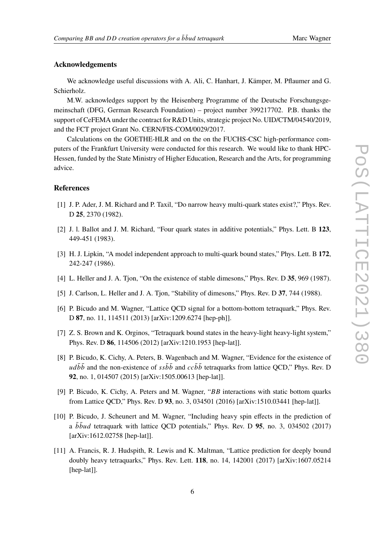## **Acknowledgements**

We acknowledge useful discussions with A. Ali, C. Hanhart, J. Kämper, M. Pflaumer and G. Schierholz.

M.W. acknowledges support by the Heisenberg Programme of the Deutsche Forschungsgemeinschaft (DFG, German Research Foundation) – project number 399217702. P.B. thanks the support of CeFEMA under the contract for R&D Units, strategic project No. UID/CTM/04540/2019, and the FCT project Grant No. CERN/FIS-COM/0029/2017.

Calculations on the GOETHE-HLR and on the on the FUCHS-CSC high-performance computers of the Frankfurt University were conducted for this research. We would like to thank HPC-Hessen, funded by the State Ministry of Higher Education, Research and the Arts, for programming advice.

## **References**

- <span id="page-5-0"></span>[1] J. P. Ader, J. M. Richard and P. Taxil, "Do narrow heavy multi-quark states exist?," Phys. Rev. D **25**, 2370 (1982).
- [2] J. l. Ballot and J. M. Richard, "Four quark states in additive potentials," Phys. Lett. B **123**, 449-451 (1983).
- [3] H. J. Lipkin, "A model independent approach to multi-quark bound states," Phys. Lett. B **172**, 242-247 (1986).
- [4] L. Heller and J. A. Tjon, "On the existence of stable dimesons," Phys. Rev. D **35**, 969 (1987).
- <span id="page-5-1"></span>[5] J. Carlson, L. Heller and J. A. Tjon, "Stability of dimesons," Phys. Rev. D **37**, 744 (1988).
- <span id="page-5-2"></span>[6] P. Bicudo and M. Wagner, "Lattice QCD signal for a bottom-bottom tetraquark," Phys. Rev. D **87**, no. 11, 114511 (2013) [arXiv:1209.6274 [hep-ph]].
- <span id="page-5-5"></span>[7] Z. S. Brown and K. Orginos, "Tetraquark bound states in the heavy-light heavy-light system," Phys. Rev. D **86**, 114506 (2012) [arXiv:1210.1953 [hep-lat]].
- <span id="page-5-7"></span>[8] P. Bicudo, K. Cichy, A. Peters, B. Wagenbach and M. Wagner, "Evidence for the existence of  $u d\bar{b} \bar{b}$  and the non-existence of  $s s\bar{b} \bar{b}$  and  $c c\bar{b} \bar{b}$  tetraquarks from lattice OCD," Phys. Rev. D **92**, no. 1, 014507 (2015) [arXiv:1505.00613 [hep-lat]].
- <span id="page-5-6"></span>[9] P. Bicudo, K. Cichy, A. Peters and M. Wagner, " $BB$  interactions with static bottom quarks from Lattice QCD," Phys. Rev. D **93**, no. 3, 034501 (2016) [arXiv:1510.03441 [hep-lat]].
- <span id="page-5-3"></span>[10] P. Bicudo, J. Scheunert and M. Wagner, "Including heavy spin effects in the prediction of a  $b\bar{b}\bar{u}d$  tetraquark with lattice QCD potentials," Phys. Rev. D **95**, no. 3, 034502 (2017) [arXiv:1612.02758 [hep-lat]].
- <span id="page-5-4"></span>[11] A. Francis, R. J. Hudspith, R. Lewis and K. Maltman, "Lattice prediction for deeply bound doubly heavy tetraquarks," Phys. Rev. Lett. **118**, no. 14, 142001 (2017) [arXiv:1607.05214 [hep-lat]].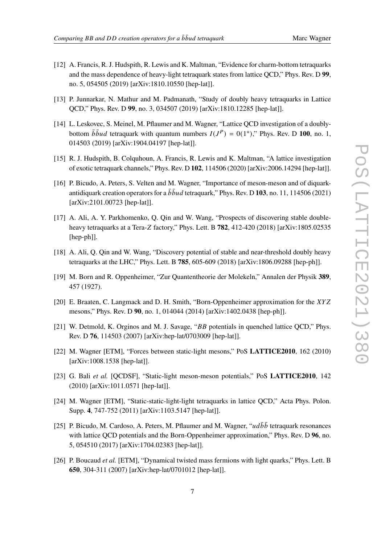- 
- [12] A. Francis, R. J. Hudspith, R. Lewis and K. Maltman, "Evidence for charm-bottom tetraquarks and the mass dependence of heavy-light tetraquark states from lattice QCD," Phys. Rev. D **99**, no. 5, 054505 (2019) [arXiv:1810.10550 [hep-lat]].
- [13] P. Junnarkar, N. Mathur and M. Padmanath, "Study of doubly heavy tetraquarks in Lattice QCD," Phys. Rev. D **99**, no. 3, 034507 (2019) [arXiv:1810.12285 [hep-lat]].
- <span id="page-6-10"></span>[14] L. Leskovec, S. Meinel, M. Pflaumer and M. Wagner, "Lattice QCD investigation of a doublybottom  $\bar{b} \bar{b} u d$  tetraquark with quantum numbers  $I(J^P) = 0(1^+),$ " Phys. Rev. D 100, no. 1, 014503 (2019) [arXiv:1904.04197 [hep-lat]].
- <span id="page-6-0"></span>[15] R. J. Hudspith, B. Colquhoun, A. Francis, R. Lewis and K. Maltman, "A lattice investigation of exotic tetraquark channels," Phys. Rev. D **102**, 114506 (2020) [arXiv:2006.14294 [hep-lat]].
- <span id="page-6-1"></span>[16] P. Bicudo, A. Peters, S. Velten and M. Wagner, "Importance of meson-meson and of diquarkantidiquark creation operators for a  $\bar{b} \bar{b} u d$  tetraquark," Phys. Rev. D 103, no. 11, 114506 (2021) [arXiv:2101.00723 [hep-lat]].
- <span id="page-6-2"></span>[17] A. Ali, A. Y. Parkhomenko, Q. Qin and W. Wang, "Prospects of discovering stable doubleheavy tetraquarks at a Tera-Z factory," Phys. Lett. B  $782$ ,  $412-420$  (2018) [arXiv:1805.02535 [hep-ph]].
- <span id="page-6-3"></span>[18] A. Ali, Q. Qin and W. Wang, "Discovery potential of stable and near-threshold doubly heavy tetraquarks at the LHC," Phys. Lett. B **785**, 605-609 (2018) [arXiv:1806.09288 [hep-ph]].
- <span id="page-6-4"></span>[19] M. Born and R. Oppenheimer, "Zur Quantentheorie der Molekeln," Annalen der Physik **389**, 457 (1927).
- <span id="page-6-5"></span>[20] E. Braaten, C. Langmack and D. H. Smith, "Born-Oppenheimer approximation for the XYZ mesons," Phys. Rev. D **90**, no. 1, 014044 (2014) [arXiv:1402.0438 [hep-ph]].
- <span id="page-6-6"></span>[21] W. Detmold, K. Orginos and M. J. Savage, " $BB$  potentials in quenched lattice QCD," Phys. Rev. D **76**, 114503 (2007) [arXiv:hep-lat/0703009 [hep-lat]].
- [22] M. Wagner [ETM], "Forces between static-light mesons," PoS **LATTICE2010**, 162 (2010) [arXiv:1008.1538 [hep-lat]].
- [23] G. Bali *et al.* [QCDSF], "Static-light meson-meson potentials," PoS **LATTICE2010**, 142 (2010) [arXiv:1011.0571 [hep-lat]].
- <span id="page-6-7"></span>[24] M. Wagner [ETM], "Static-static-light-light tetraquarks in lattice OCD," Acta Phys. Polon. Supp. **4**, 747-752 (2011) [arXiv:1103.5147 [hep-lat]].
- <span id="page-6-8"></span>[25] P. Bicudo, M. Cardoso, A. Peters, M. Pflaumer and M. Wagner, " $ud\bar{b}\bar{b}$  tetraquark resonances with lattice QCD potentials and the Born-Oppenheimer approximation," Phys. Rev. D **96**, no. 5, 054510 (2017) [arXiv:1704.02383 [hep-lat]].
- <span id="page-6-9"></span>[26] P. Boucaud *et al.* [ETM], "Dynamical twisted mass fermions with light quarks," Phys. Lett. B **650**, 304-311 (2007) [arXiv:hep-lat/0701012 [hep-lat]].